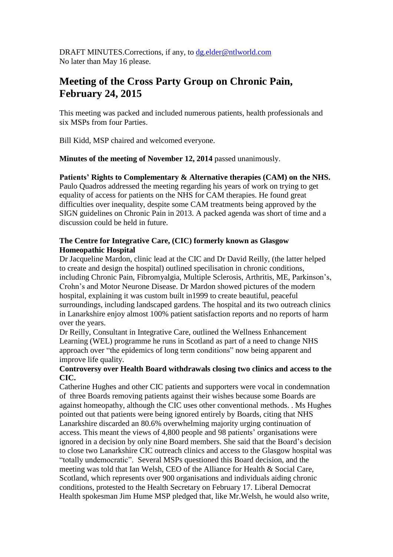DRAFT MINUTES. Corrections, if any, to [dg.elder@ntlworld.com](mailto:dg.elder@ntlworld.com) No later than May 16 please.

# **Meeting of the Cross Party Group on Chronic Pain, February 24, 2015**

This meeting was packed and included numerous patients, health professionals and six MSPs from four Parties.

Bill Kidd, MSP chaired and welcomed everyone.

**Minutes of the meeting of November 12, 2014** passed unanimously.

# **Patients' Rights to Complementary & Alternative therapies (CAM) on the NHS.**

Paulo Quadros addressed the meeting regarding his years of work on trying to get equality of access for patients on the NHS for CAM therapies. He found great difficulties over inequality, despite some CAM treatments being approved by the SIGN guidelines on Chronic Pain in 2013. A packed agenda was short of time and a discussion could be held in future.

# **The Centre for Integrative Care, (CIC) formerly known as Glasgow Homeopathic Hospital**

Dr Jacqueline Mardon, clinic lead at the CIC and Dr David Reilly, (the latter helped to create and design the hospital) outlined specilisation in chronic conditions, including Chronic Pain, Fibromyalgia, Multiple Sclerosis, Arthritis, ME, Parkinson's, Crohn's and Motor Neurone Disease. Dr Mardon showed pictures of the modern hospital, explaining it was custom built in1999 to create beautiful, peaceful surroundings, including landscaped gardens. The hospital and its two outreach clinics in Lanarkshire enjoy almost 100% patient satisfaction reports and no reports of harm over the years.

Dr Reilly, Consultant in Integrative Care, outlined the Wellness Enhancement Learning (WEL) programme he runs in Scotland as part of a need to change NHS approach over "the epidemics of long term conditions" now being apparent and improve life quality.

# **Controversy over Health Board withdrawals closing two clinics and access to the CIC.**

Catherine Hughes and other CIC patients and supporters were vocal in condemnation of three Boards removing patients against their wishes because some Boards are against homeopathy, although the CIC uses other conventional methods. . Ms Hughes pointed out that patients were being ignored entirely by Boards, citing that NHS Lanarkshire discarded an 80.6% overwhelming majority urging continuation of access. This meant the views of 4,800 people and 98 patients' organisations were ignored in a decision by only nine Board members. She said that the Board's decision to close two Lanarkshire CIC outreach clinics and access to the Glasgow hospital was "totally undemocratic". Several MSPs questioned this Board decision, and the meeting was told that Ian Welsh, CEO of the Alliance for Health & Social Care, Scotland, which represents over 900 organisations and individuals aiding chronic conditions, protested to the Health Secretary on February 17. Liberal Democrat Health spokesman Jim Hume MSP pledged that, like Mr.Welsh, he would also write,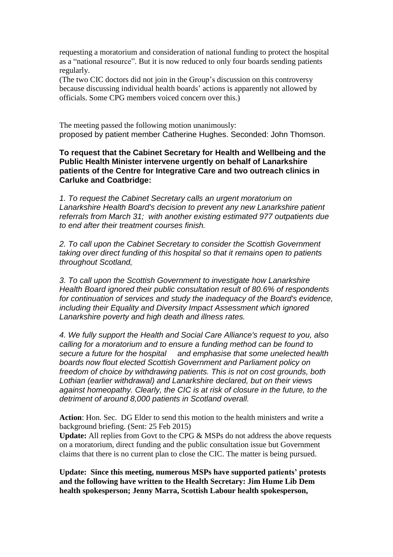requesting a moratorium and consideration of national funding to protect the hospital as a "national resource". But it is now reduced to only four boards sending patients regularly.

(The two CIC doctors did not join in the Group's discussion on this controversy because discussing individual health boards' actions is apparently not allowed by officials. Some CPG members voiced concern over this.)

The meeting passed the following motion unanimously: proposed by patient member Catherine Hughes. Seconded: John Thomson.

# **To request that the Cabinet Secretary for Health and Wellbeing and the Public Health Minister intervene urgently on behalf of Lanarkshire patients of the Centre for Integrative Care and two outreach clinics in Carluke and Coatbridge:**

*1. To request the Cabinet Secretary calls an urgent moratorium on Lanarkshire Health Board's decision to prevent any new Lanarkshire patient referrals from March 31; with another existing estimated 977 outpatients due to end after their treatment courses finish.* 

*2. To call upon the Cabinet Secretary to consider the Scottish Government taking over direct funding of this hospital so that it remains open to patients throughout Scotland,*

*3. To call upon the Scottish Government to investigate how Lanarkshire Health Board ignored their public consultation result of 80.6% of respondents for continuation of services and study the inadequacy of the Board's evidence, including their Equality and Diversity Impact Assessment which ignored Lanarkshire poverty and high death and illness rates.*

*4. We fully support the Health and Social Care Alliance's request to you, also calling for a moratorium and to ensure a funding method can be found to secure a future for the hospital and emphasise that some unelected health boards now flout elected Scottish Government and Parliament policy on freedom of choice by withdrawing patients. This is not on cost grounds, both Lothian (earlier withdrawal) and Lanarkshire declared, but on their views against homeopathy. Clearly, the CIC is at risk of closure in the future, to the detriment of around 8,000 patients in Scotland overall.*

**Action**: Hon. Sec. DG Elder to send this motion to the health ministers and write a background briefing. (Sent: 25 Feb 2015)

**Update:** All replies from Govt to the CPG & MSPs do not address the above requests on a moratorium, direct funding and the public consultation issue but Government claims that there is no current plan to close the CIC. The matter is being pursued.

**Update: Since this meeting, numerous MSPs have supported patients' protests and the following have written to the Health Secretary: Jim Hume Lib Dem health spokesperson; Jenny Marra, Scottish Labour health spokesperson,**